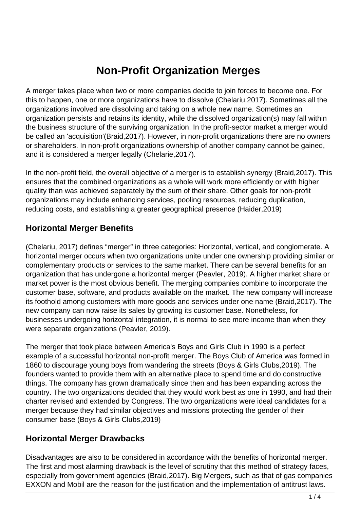# **Non-Profit Organization Merges**

A merger takes place when two or more companies decide to join forces to become one. For this to happen, one or more organizations have to dissolve (Chelariu,2017). Sometimes all the organizations involved are dissolving and taking on a whole new name. Sometimes an organization persists and retains its identity, while the dissolved organization(s) may fall within the business structure of the surviving organization. In the profit-sector market a merger would be called an 'acquisition'(Braid,2017). However, in non-profit organizations there are no owners or shareholders. In non-profit organizations ownership of another company cannot be gained, and it is considered a merger legally (Chelarie,2017).

In the non-profit field, the overall objective of a merger is to establish synergy (Braid,2017). This ensures that the combined organizations as a whole will work more efficiently or with higher quality than was achieved separately by the sum of their share. Other goals for non-profit organizations may include enhancing services, pooling resources, reducing duplication, reducing costs, and establishing a greater geographical presence (Haider,2019)

#### **Horizontal Merger Benefits**

(Chelariu, 2017) defines "merger" in three categories: Horizontal, vertical, and conglomerate. A horizontal merger occurs when two organizations unite under one ownership providing similar or complementary products or services to the same market. There can be several benefits for an organization that has undergone a horizontal merger (Peavler, 2019). A higher market share or market power is the most obvious benefit. The merging companies combine to incorporate the customer base, software, and products available on the market. The new company will increase its foothold among customers with more goods and services under one name (Braid,2017). The new company can now raise its sales by growing its customer base. Nonetheless, for businesses undergoing horizontal integration, it is normal to see more income than when they were separate organizations (Peavler, 2019).

The merger that took place between America's Boys and Girls Club in 1990 is a perfect example of a successful horizontal non-profit merger. The Boys Club of America was formed in 1860 to discourage young boys from wandering the streets (Boys & Girls Clubs,2019). The founders wanted to provide them with an alternative place to spend time and do constructive things. The company has grown dramatically since then and has been expanding across the country. The two organizations decided that they would work best as one in 1990, and had their charter revised and extended by Congress. The two organizations were ideal candidates for a merger because they had similar objectives and missions protecting the gender of their consumer base (Boys & Girls Clubs,2019)

#### **Horizontal Merger Drawbacks**

Disadvantages are also to be considered in accordance with the benefits of horizontal merger. The first and most alarming drawback is the level of scrutiny that this method of strategy faces, especially from government agencies (Braid,2017). Big Mergers, such as that of gas companies EXXON and Mobil are the reason for the justification and the implementation of antitrust laws.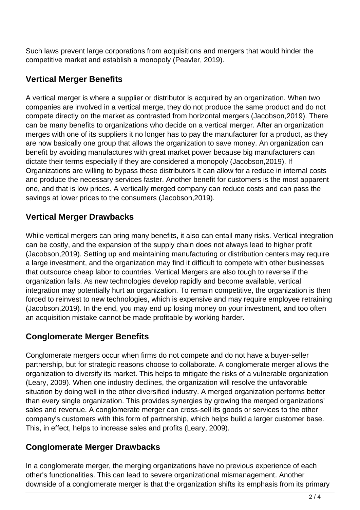Such laws prevent large corporations from acquisitions and mergers that would hinder the competitive market and establish a monopoly (Peavler, 2019).

### **Vertical Merger Benefits**

A vertical merger is where a supplier or distributor is acquired by an organization. When two companies are involved in a vertical merge, they do not produce the same product and do not compete directly on the market as contrasted from horizontal mergers (Jacobson,2019). There can be many benefits to organizations who decide on a vertical merger. After an organization merges with one of its suppliers it no longer has to pay the manufacturer for a product, as they are now basically one group that allows the organization to save money. An organization can benefit by avoiding manufactures with great market power because big manufacturers can dictate their terms especially if they are considered a monopoly (Jacobson,2019). If Organizations are willing to bypass these distributors It can allow for a reduce in internal costs and produce the necessary services faster. Another benefit for customers is the most apparent one, and that is low prices. A vertically merged company can reduce costs and can pass the savings at lower prices to the consumers (Jacobson,2019).

## **Vertical Merger Drawbacks**

While vertical mergers can bring many benefits, it also can entail many risks. Vertical integration can be costly, and the expansion of the supply chain does not always lead to higher profit (Jacobson,2019). Setting up and maintaining manufacturing or distribution centers may require a large investment, and the organization may find it difficult to compete with other businesses that outsource cheap labor to countries. Vertical Mergers are also tough to reverse if the organization fails. As new technologies develop rapidly and become available, vertical integration may potentially hurt an organization. To remain competitive, the organization is then forced to reinvest to new technologies, which is expensive and may require employee retraining (Jacobson,2019). In the end, you may end up losing money on your investment, and too often an acquisition mistake cannot be made profitable by working harder.

# **Conglomerate Merger Benefits**

Conglomerate mergers occur when firms do not compete and do not have a buyer-seller partnership, but for strategic reasons choose to collaborate. A conglomerate merger allows the organization to diversify its market. This helps to mitigate the risks of a vulnerable organization (Leary, 2009). When one industry declines, the organization will resolve the unfavorable situation by doing well in the other diversified industry. A merged organization performs better than every single organization. This provides synergies by growing the merged organizations' sales and revenue. A conglomerate merger can cross-sell its goods or services to the other company's customers with this form of partnership, which helps build a larger customer base. This, in effect, helps to increase sales and profits (Leary, 2009).

#### **Conglomerate Merger Drawbacks**

In a conglomerate merger, the merging organizations have no previous experience of each other's functionalities. This can lead to severe organizational mismanagement. Another downside of a conglomerate merger is that the organization shifts its emphasis from its primary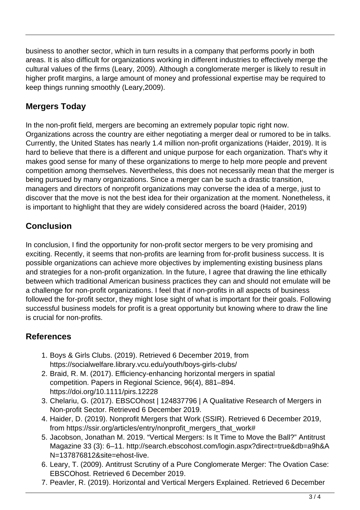business to another sector, which in turn results in a company that performs poorly in both areas. It is also difficult for organizations working in different industries to effectively merge the cultural values of the firms (Leary, 2009). Although a conglomerate merger is likely to result in higher profit margins, a large amount of money and professional expertise may be required to keep things running smoothly (Leary,2009).

## **Mergers Today**

In the non-profit field, mergers are becoming an extremely popular topic right now. Organizations across the country are either negotiating a merger deal or rumored to be in talks. Currently, the United States has nearly 1.4 million non-profit organizations (Haider, 2019). It is hard to believe that there is a different and unique purpose for each organization. That's why it makes good sense for many of these organizations to merge to help more people and prevent competition among themselves. Nevertheless, this does not necessarily mean that the merger is being pursued by many organizations. Since a merger can be such a drastic transition, managers and directors of nonprofit organizations may converse the idea of a merge, just to discover that the move is not the best idea for their organization at the moment. Nonetheless, it is important to highlight that they are widely considered across the board (Haider, 2019)

## **Conclusion**

In conclusion, I find the opportunity for non-profit sector mergers to be very promising and exciting. Recently, it seems that non-profits are learning from for-profit business success. It is possible organizations can achieve more objectives by implementing existing business plans and strategies for a non-profit organization. In the future, I agree that drawing the line ethically between which traditional American business practices they can and should not emulate will be a challenge for non-profit organizations. I feel that if non-profits in all aspects of business followed the for-profit sector, they might lose sight of what is important for their goals. Following successful business models for profit is a great opportunity but knowing where to draw the line is crucial for non-profits.

#### **References**

- 1. Boys & Girls Clubs. (2019). Retrieved 6 December 2019, from https://socialwelfare.library.vcu.edu/youth/boys-girls-clubs/
- 2. Braid, R. M. (2017). Efficiency-enhancing horizontal mergers in spatial competition. Papers in Regional Science, 96(4), 881–894. https://doi.org/10.1111/pirs.12228
- 3. Chelariu, G. (2017). EBSCOhost | 124837796 | A Qualitative Research of Mergers in Non-profit Sector. Retrieved 6 December 2019.
- 4. Haider, D. (2019). Nonprofit Mergers that Work (SSIR). Retrieved 6 December 2019, from https://ssir.org/articles/entry/nonprofit\_mergers\_that\_work#
- 5. Jacobson, Jonathan M. 2019. "Vertical Mergers: Is It Time to Move the Ball?" Antitrust Magazine 33 (3): 6–11. http://search.ebscohost.com/login.aspx?direct=true&db=a9h&A N=137876812&site=ehost-live.
- 6. Leary, T. (2009). Antitrust Scrutiny of a Pure Conglomerate Merger: The Ovation Case: EBSCOhost. Retrieved 6 December 2019.
- 7. Peavler, R. (2019). Horizontal and Vertical Mergers Explained. Retrieved 6 December